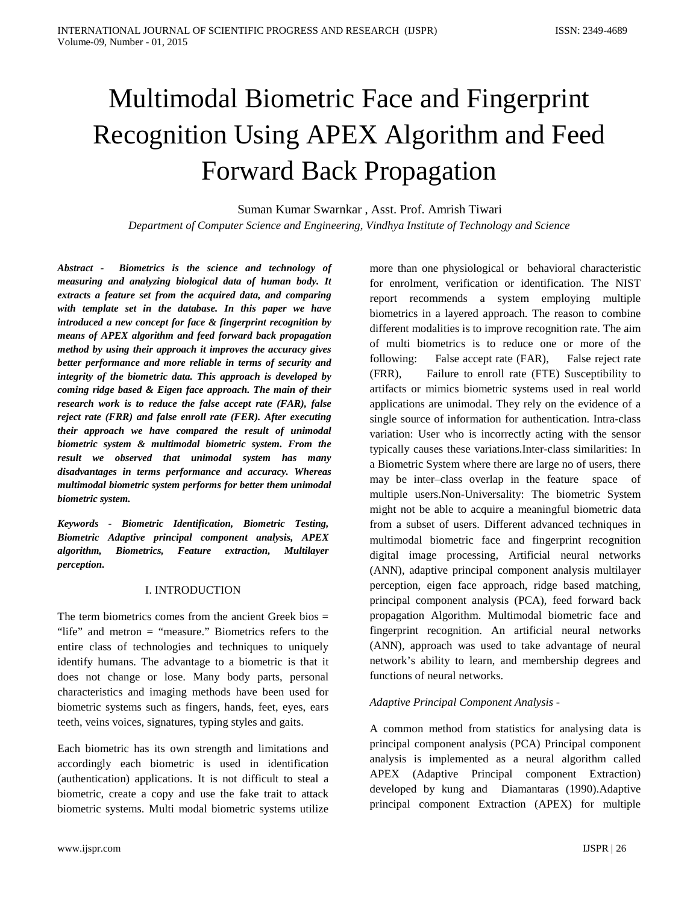# Multimodal Biometric Face and Fingerprint Recognition Using APEX Algorithm and Feed Forward Back Propagation

Suman Kumar Swarnkar , Asst. Prof. Amrish Tiwari *Department of Computer Science and Engineering, Vindhya Institute of Technology and Science*

*Abstract - Biometrics is the science and technology of measuring and analyzing biological data of human body. It extracts a feature set from the acquired data, and comparing with template set in the database. In this paper we have introduced a new concept for face & fingerprint recognition by means of APEX algorithm and feed forward back propagation method by using their approach it improves the accuracy gives better performance and more reliable in terms of security and integrity of the biometric data. This approach is developed by coming ridge based & Eigen face approach. The main of their research work is to reduce the false accept rate (FAR), false reject rate (FRR) and false enroll rate (FER). After executing their approach we have compared the result of unimodal biometric system & multimodal biometric system. From the result we observed that unimodal system has many disadvantages in terms performance and accuracy. Whereas multimodal biometric system performs for better them unimodal biometric system.*

*Keywords - Biometric Identification, Biometric Testing, Biometric Adaptive principal component analysis, APEX algorithm, Biometrics, Feature extraction, Multilayer perception.*

## I. INTRODUCTION

The term biometrics comes from the ancient Greek bios  $=$ "life" and metron = "measure." Biometrics refers to the entire class of technologies and techniques to uniquely identify humans. The advantage to a biometric is that it does not change or lose. Many body parts, personal characteristics and imaging methods have been used for biometric systems such as fingers, hands, feet, eyes, ears teeth, veins voices, signatures, typing styles and gaits.

Each biometric has its own strength and limitations and accordingly each biometric is used in identification (authentication) applications. It is not difficult to steal a biometric, create a copy and use the fake trait to attack biometric systems. Multi modal biometric systems utilize

more than one physiological or behavioral characteristic for enrolment, verification or identification. The NIST report recommends a system employing multiple biometrics in a layered approach. The reason to combine different modalities is to improve recognition rate. The aim of multi biometrics is to reduce one or more of the following: False accept rate (FAR), False reject rate (FRR), Failure to enroll rate (FTE) Susceptibility to artifacts or mimics biometric systems used in real world applications are unimodal. They rely on the evidence of a single source of information for authentication. Intra-class variation: User who is incorrectly acting with the sensor typically causes these variations.Inter-class similarities: In a Biometric System where there are large no of users, there may be inter–class overlap in the feature space of multiple users.Non-Universality: The biometric System might not be able to acquire a meaningful biometric data from a subset of users. Different advanced techniques in multimodal biometric face and fingerprint recognition digital image processing, Artificial neural networks (ANN), adaptive principal component analysis multilayer perception, eigen face approach, ridge based matching, principal component analysis (PCA), feed forward back propagation Algorithm. Multimodal biometric face and fingerprint recognition. An artificial neural networks (ANN), approach was used to take advantage of neural network's ability to learn, and membership degrees and functions of neural networks.

## *Adaptive Principal Component Analysis -*

A common method from statistics for analysing data is principal component analysis (PCA) Principal component analysis is implemented as a neural algorithm called APEX (Adaptive Principal component Extraction) developed by kung and Diamantaras (1990).Adaptive principal component Extraction (APEX) for multiple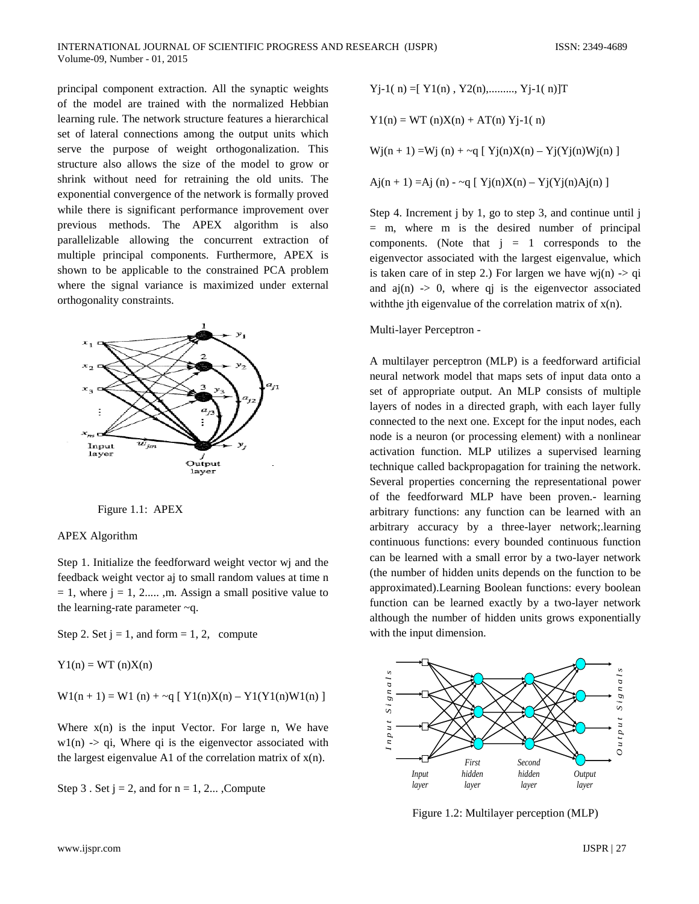principal component extraction. All the synaptic weights of the model are trained with the normalized Hebbian learning rule. The network structure features a hierarchical set of lateral connections among the output units which serve the purpose of weight orthogonalization. This structure also allows the size of the model to grow or shrink without need for retraining the old units. The exponential convergence of the network is formally proved while there is significant performance improvement over previous methods. The APEX algorithm is also parallelizable allowing the concurrent extraction of multiple principal components. Furthermore, APEX is shown to be applicable to the constrained PCA problem where the signal variance is maximized under external orthogonality constraints.





#### APEX Algorithm

Step 1. Initialize the feedforward weight vector wj and the feedback weight vector aj to small random values at time n  $= 1$ , where  $j = 1, 2,...$ , m. Assign a small positive value to the learning-rate parameter ~q.

Step 2. Set  $j = 1$ , and form = 1, 2, compute

 $Y1(n) = WT(n)X(n)$ 

 $W1(n + 1) = W1(n) + \sim q [ Y1(n)X(n) - Y1(Y1(n)W1(n) ]$ 

Where  $x(n)$  is the input Vector. For large n, We have  $w1(n)$  -> qi, Where qi is the eigenvector associated with the largest eigenvalue A1 of the correlation matrix of  $x(n)$ .

Step 3. Set  $j = 2$ , and for  $n = 1, 2...$ , Compute

 $Yj-1(n) = [ Y1(n), Y2(n), \dots, Yj-1(n)]T$ 

 $Y1(n) = WT (n)X(n) + AT(n)Yj-1(n)$ 

 $Wj(n + 1) = Wj(n) + \sim q [ Yj(n)X(n) - Yj(Yj(n)Wj(n) ]$ 

$$
Aj(n + 1) = Aj(n) - \sim q [Yj(n)X(n) - Yj(Yj(n)Aj(n)]
$$

Step 4. Increment j by 1, go to step 3, and continue until j = m, where m is the desired number of principal components. (Note that  $j = 1$  corresponds to the eigenvector associated with the largest eigenvalue, which is taken care of in step 2.) For largen we have wj(n)  $\rightarrow$  qi and  $a_j(n) \rightarrow 0$ , where q i is the eigenvector associated with the jth eigenvalue of the correlation matrix of  $x(n)$ .

Multi-layer Perceptron -

A multilayer perceptron (MLP) is a [feedforward](http://en.wikipedia.org/wiki/Feedforward_neural_network) [artificial](http://en.wikipedia.org/wiki/Artificial_neural_network)  [neural network](http://en.wikipedia.org/wiki/Artificial_neural_network) model that maps sets of input data onto a set of appropriate output. An MLP consists of multiple layers of nodes in a directed graph, with each layer fully connected to the next one. Except for the input nodes, each node is a neuron (or processing element) with a nonlinear [activation function.](http://en.wikipedia.org/wiki/Activation_function) MLP utilizes a [supervised learning](http://en.wikipedia.org/wiki/Supervised_learning) technique called [backpropagation](http://en.wikipedia.org/wiki/Backpropagation) for training the network. Several properties concerning the representational power of the feedforward MLP have been proven.- learning arbitrary functions: any function can be learned with an arbitrary accuracy by a three-layer network;.learning continuous functions: every bounded continuous function can be learned with a small error by a two-layer network (the number of hidden units depends on the function to be approximated).Learning Boolean functions: every boolean function can be learned exactly by a two-layer network although the number of hidden units grows exponentially with the input dimension.



Figure 1.2: Multilayer perception (MLP)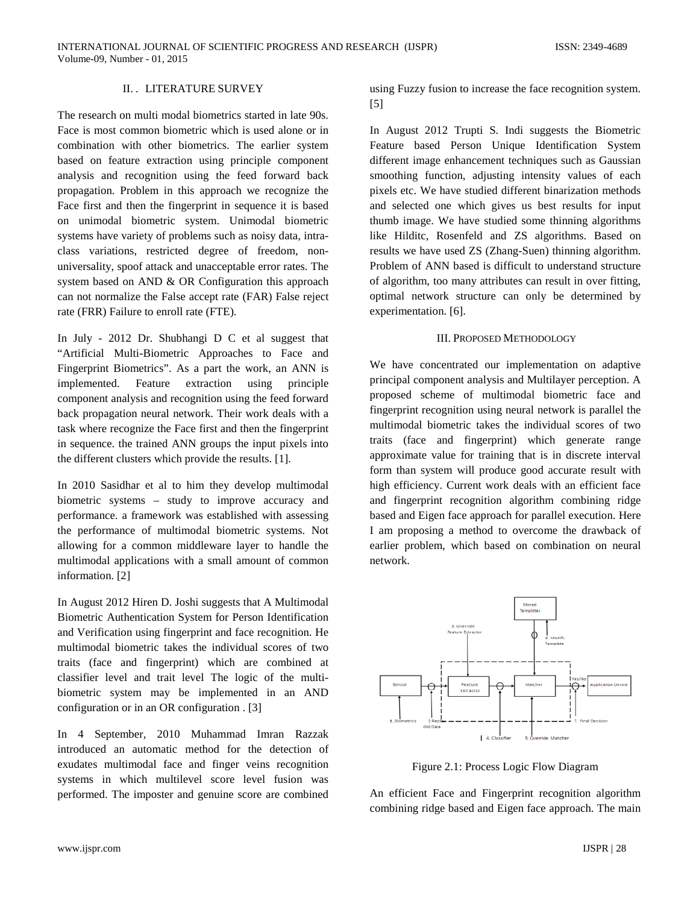#### II. . LITERATURE SURVEY

The research on multi modal biometrics started in late 90s. Face is most common biometric which is used alone or in combination with other biometrics. The earlier system based on feature extraction using principle component analysis and recognition using the feed forward back propagation. Problem in this approach we recognize the Face first and then the fingerprint in sequence it is based on unimodal biometric system. Unimodal biometric systems have variety of problems such as noisy data, intraclass variations, restricted degree of freedom, nonuniversality, spoof attack and unacceptable error rates. The system based on AND & OR Configuration this approach can not normalize the False accept rate (FAR) False reject rate (FRR) Failure to enroll rate (FTE).

In July - 2012 Dr. Shubhangi D C et al suggest that "Artificial Multi-Biometric Approaches to Face and Fingerprint Biometrics". As a part the work, an ANN is implemented. Feature extraction using principle component analysis and recognition using the feed forward back propagation neural network. Their work deals with a task where recognize the Face first and then the fingerprint in sequence. the trained ANN groups the input pixels into the different clusters which provide the results. [1].

In 2010 Sasidhar et al to him they develop multimodal biometric systems – study to improve accuracy and performance. a framework was established with assessing the performance of multimodal biometric systems. Not allowing for a common middleware layer to handle the multimodal applications with a small amount of common information. [2]

In August 2012 Hiren D. Joshi suggests that A Multimodal Biometric Authentication System for Person Identification and Verification using fingerprint and face recognition. He multimodal biometric takes the individual scores of two traits (face and fingerprint) which are combined at classifier level and trait level The logic of the multibiometric system may be implemented in an AND configuration or in an OR configuration . [3]

In 4 September, 2010 Muhammad Imran Razzak introduced an automatic method for the detection of exudates multimodal face and finger veins recognition systems in which multilevel score level fusion was performed. The imposter and genuine score are combined

using Fuzzy fusion to increase the face recognition system. [5]

In August 2012 Trupti S. Indi suggests the Biometric Feature based Person Unique Identification System different image enhancement techniques such as Gaussian smoothing function, adjusting intensity values of each pixels etc. We have studied different binarization methods and selected one which gives us best results for input thumb image. We have studied some thinning algorithms like Hilditc, Rosenfeld and ZS algorithms. Based on results we have used ZS (Zhang-Suen) thinning algorithm. Problem of ANN based is difficult to understand structure of algorithm, too many attributes can result in over fitting, optimal network structure can only be determined by experimentation. [6].

#### III. PROPOSED METHODOLOGY

We have concentrated our implementation on adaptive principal component analysis and Multilayer perception. A proposed scheme of multimodal biometric face and fingerprint recognition using neural network is parallel the multimodal biometric takes the individual scores of two traits (face and fingerprint) which generate range approximate value for training that is in discrete interval form than system will produce good accurate result with high efficiency. Current work deals with an efficient face and fingerprint recognition algorithm combining ridge based and Eigen face approach for parallel execution. Here I am proposing a method to overcome the drawback of earlier problem, which based on combination on neural network.



Figure 2.1: Process Logic Flow Diagram

An efficient Face and Fingerprint recognition algorithm combining ridge based and Eigen face approach. The main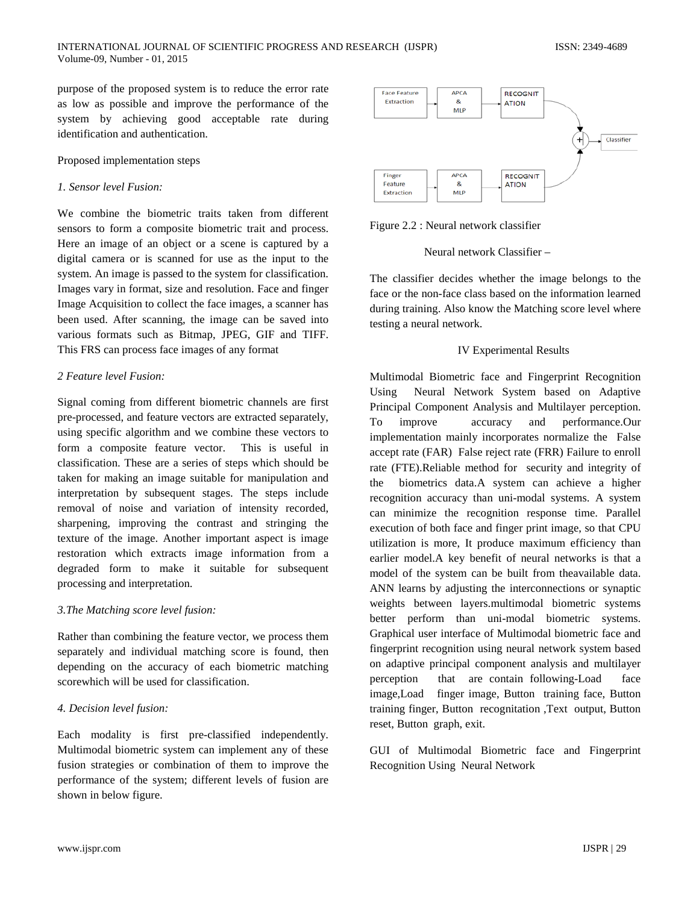purpose of the proposed system is to reduce the error rate as low as possible and improve the performance of the system by achieving good acceptable rate during identification and authentication.

#### Proposed implementation steps

#### *1. Sensor level Fusion:*

We combine the biometric traits taken from different sensors to form a composite biometric trait and process. Here an image of an object or a scene is captured by a digital camera or is scanned for use as the input to the system. An image is passed to the system for classification. Images vary in format, size and resolution. Face and finger Image Acquisition to collect the face images, a scanner has been used. After scanning, the image can be saved into various formats such as Bitmap, JPEG, GIF and TIFF. This FRS can process face images of any format

#### *2 Feature level Fusion:*

Signal coming from different biometric channels are first pre-processed, and feature vectors are extracted separately, using specific algorithm and we combine these vectors to form a composite feature vector. This is useful in classification. These are a series of steps which should be taken for making an image suitable for manipulation and interpretation by subsequent stages. The steps include removal of noise and variation of intensity recorded, sharpening, improving the contrast and stringing the texture of the image. Another important aspect is image restoration which extracts image information from a degraded form to make it suitable for subsequent processing and interpretation.

#### *3.The Matching score level fusion:*

Rather than combining the feature vector, we process them separately and individual matching score is found, then depending on the accuracy of each biometric matching scorewhich will be used for classification.

## *4. Decision level fusion:*

Each modality is first pre-classified independently. Multimodal biometric system can implement any of these fusion strategies or combination of them to improve the performance of the system; different levels of fusion are shown in below figure.



Figure 2.2 : Neural network classifier

#### Neural network Classifier –

The classifier decides whether the image belongs to the face or the non-face class based on the information learned during training. Also know the Matching score level where testing a neural network.

#### IV Experimental Results

Multimodal Biometric face and Fingerprint Recognition Using Neural Network System based on Adaptive Principal Component Analysis and Multilayer perception. To improve accuracy and performance.Our implementation mainly incorporates normalize the False accept rate (FAR) False reject rate (FRR) Failure to enroll rate (FTE).Reliable method for security and integrity of the biometrics data.A system can achieve a higher recognition accuracy than uni-modal systems. A system can minimize the recognition response time. Parallel execution of both face and finger print image, so that CPU utilization is more, It produce maximum efficiency than earlier model.A key benefit of neural networks is that a model of the system can be built from theavailable data. ANN learns by adjusting the interconnections or synaptic weights between layers.multimodal biometric systems better perform than uni-modal biometric systems. Graphical user interface of Multimodal biometric face and fingerprint recognition using neural network system based on adaptive principal component analysis and multilayer perception that are contain following-Load face image,Load finger image, Button training face, Button training finger, Button recognitation ,Text output, Button reset, Button graph, exit.

GUI of Multimodal Biometric face and Fingerprint Recognition Using Neural Network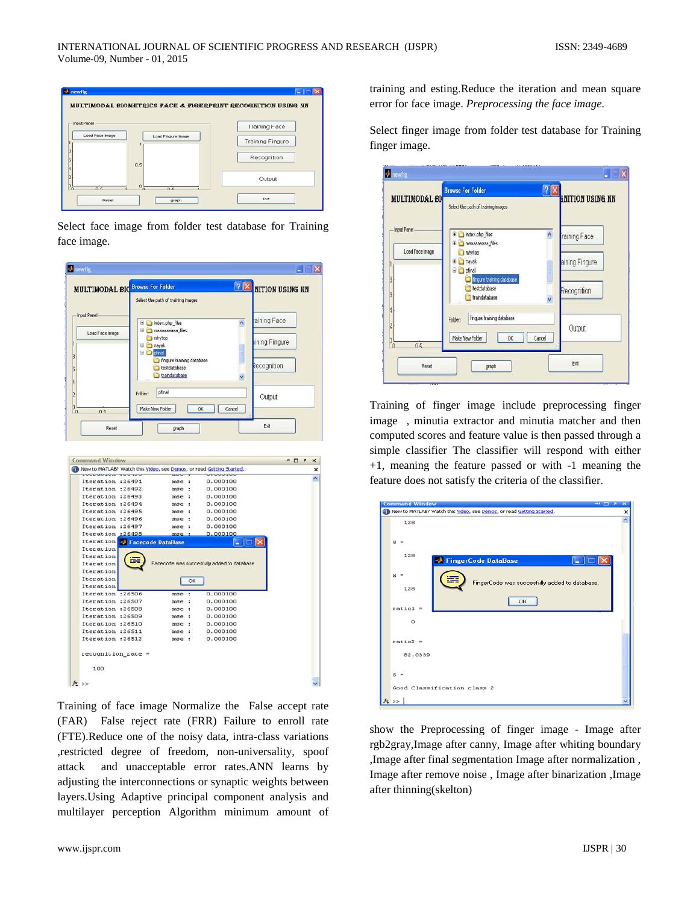

Select face image from folder test database for Training face image.

| <b>MULTIMODAL BIO</b>                | <b>Browse For Folder</b>                   |                                    | <b>PX</b> NITION USING NN                   |               |
|--------------------------------------|--------------------------------------------|------------------------------------|---------------------------------------------|---------------|
|                                      |                                            | Select the path of training images |                                             |               |
| <b>Input Panel</b>                   |                                            |                                    |                                             |               |
|                                      |                                            | El condex.php_files                | ۸                                           | aining Face   |
| Load Face Image                      |                                            | El maaaaaaaaa files                |                                             |               |
|                                      |                                            | mhytop                             |                                             | ining Fingure |
|                                      | <b>El</b> ayak<br><b>E</b> <i>C</i> pfinal |                                    |                                             |               |
|                                      |                                            | fingure training database          |                                             |               |
|                                      |                                            | testdatabase                       |                                             | Recognition   |
|                                      |                                            | traindatabase                      |                                             |               |
|                                      |                                            |                                    |                                             |               |
|                                      | Folder:                                    | pfinal                             |                                             | Output        |
|                                      |                                            |                                    |                                             |               |
| 0.5<br>ſΩ                            |                                            | Make New Folder                    | OK<br>Cancel                                |               |
|                                      |                                            |                                    |                                             | Exit          |
| Reset                                |                                            | oraph                              |                                             |               |
| Iteration :26492                     |                                            | mse<br>÷                           | 0.000100                                    |               |
| Iteration :26493<br>Iteration :26494 |                                            | mse:<br>mse :<br>÷                 | 0.000100<br>0.000100                        |               |
| Iteration :26495<br>Iteration :26496 |                                            | mse<br>mse<br>к,                   | 0.000100<br>0.000100                        |               |
| Iteration :26497                     |                                            | mse:                               | 0.000100                                    |               |
| Iteration                            | :26498                                     | mse.                               | 0.000100                                    |               |
| Iteration                            | Facecode DataBase                          |                                    |                                             | IX            |
| Iteration                            |                                            |                                    |                                             |               |
| Iteration                            |                                            |                                    |                                             |               |
| Iteration                            |                                            |                                    | Facecode was succesfully added to database. |               |
| Iteration<br>Iteration               |                                            |                                    |                                             |               |
| Iteration                            |                                            | OK                                 |                                             |               |
| Iteration :26506                     |                                            | mse<br>÷                           | 0.000100                                    |               |
| Iteration :26507                     |                                            | mse<br>÷                           | 0.000100                                    |               |
| Iteration :26508                     |                                            | ÷<br>mse                           | 0.000100                                    |               |
| Iteration :26509                     |                                            | mse :                              | 0.000100                                    |               |
| Iteration :26510                     |                                            | mse<br>÷                           | 0.000100                                    |               |
| Iteration :26511                     |                                            | mse<br>÷                           | 0.000100                                    |               |
| Iteration :26512                     |                                            | mse:                               | 0.000100                                    |               |
| $recognition rate =$                 |                                            |                                    |                                             |               |
| 100                                  |                                            |                                    |                                             |               |

Training of face image Normalize the False accept rate (FAR) False reject rate (FRR) Failure to enroll rate (FTE).Reduce one of the noisy data, intra-class variations ,restricted degree of freedom, non-universality, spoof attack and unacceptable error rates.ANN learns by adjusting the interconnections or synaptic weights between layers.Using Adaptive principal component analysis and multilayer perception Algorithm minimum amount of training and esting.Reduce the iteration and mean square error for face image. *Preprocessing the face image.*

Select finger image from folder test database for Training finger image.

| <b>MULTIMODAL BI</b><br>Select the path of training images<br><b>Input Panel</b><br>index.php_files<br>田<br>$\lambda$<br>raining Face<br>田<br>maaaaaaaaa files<br>Load Face Image<br>inhytoo<br>aining Fingure<br>nayak<br>⊕<br>Θ<br>pfinal<br>fingure training database<br>testdatabase<br>Recognition<br>traindatabase<br>v | $[2]$ X<br><b>ENITION USING NN</b> |  |
|-------------------------------------------------------------------------------------------------------------------------------------------------------------------------------------------------------------------------------------------------------------------------------------------------------------------------------|------------------------------------|--|
|                                                                                                                                                                                                                                                                                                                               |                                    |  |
|                                                                                                                                                                                                                                                                                                                               |                                    |  |
|                                                                                                                                                                                                                                                                                                                               |                                    |  |
|                                                                                                                                                                                                                                                                                                                               |                                    |  |
| fingure training database<br>Folder:<br>Output<br>Make New Folder<br>Cancel                                                                                                                                                                                                                                                   |                                    |  |
| OK<br>05<br>'n                                                                                                                                                                                                                                                                                                                |                                    |  |

Training of finger image include preprocessing finger image , minutia extractor and minutia matcher and then computed scores and feature value is then passed through a simple classifier The classifier will respond with either +1, meaning the feature passed or with -1 meaning the feature does not satisfy the criteria of the classifier.

| <b>Command Window</b><br>$\overline{\phantom{a}}$                    | ×        |  |
|----------------------------------------------------------------------|----------|--|
| New to MATLAB? Watch this Video, see Demos, or read Getting Started. | $\times$ |  |
| 128                                                                  |          |  |
| ы                                                                    |          |  |
| 128<br>FingerCode DataBase                                           |          |  |
| $H =$<br>FingerCode was succesfully added to database.               |          |  |
| 128                                                                  |          |  |
| OK<br>$ratio1 =$                                                     |          |  |
| $\circ$                                                              |          |  |
| $ratio2 =$                                                           |          |  |
| 82.0339                                                              |          |  |
| $s =$                                                                |          |  |
| Good Classification class 2                                          |          |  |
| f(x)                                                                 |          |  |

show the Preprocessing of finger image - Image after rgb2gray,Image after canny, Image after whiting boundary ,Image after final segmentation Image after normalization , Image after remove noise , Image after binarization ,Image after thinning(skelton)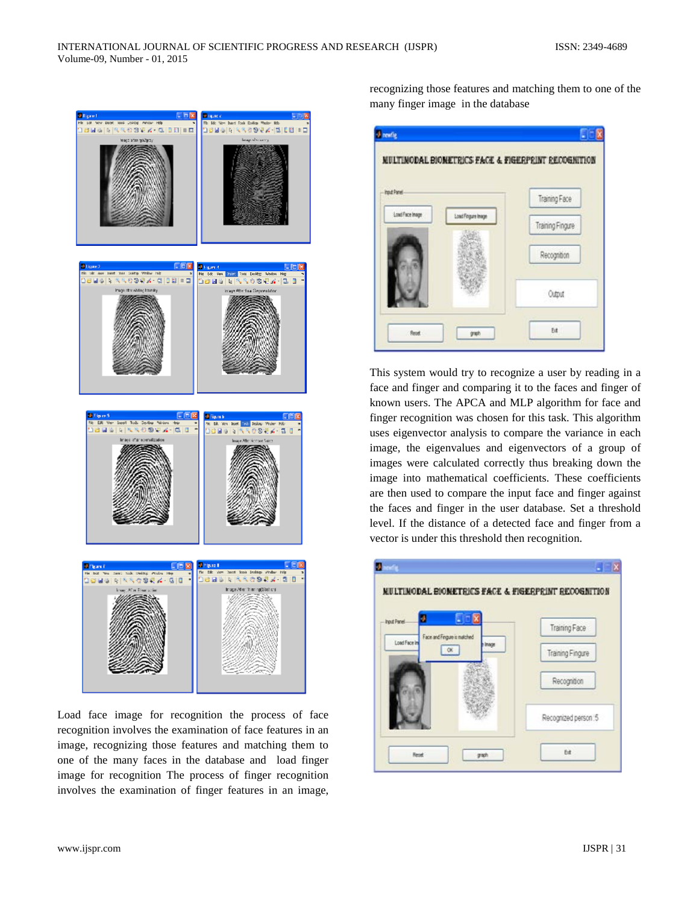

Load face image for recognition the process of face recognition involves the examination of face features in an image, recognizing those features and matching them to one of the many faces in the database and load finger image for recognition The process of finger recognition involves the examination of finger features in an image,

recognizing those features and matching them to one of the many finger image in the database



This system would try to recognize a user by reading in a face and finger and comparing it to the faces and finger of known users. The APCA and MLP algorithm for face and finger recognition was chosen for this task. This algorithm uses eigenvector analysis to compare the variance in each image, the eigenvalues and eigenvectors of a group of images were calculated correctly thus breaking down the image into mathematical coefficients. These coefficients are then used to compare the input face and finger against the faces and finger in the user database. Set a threshold level. If the distance of a detected face and finger from a vector is under this threshold then recognition.

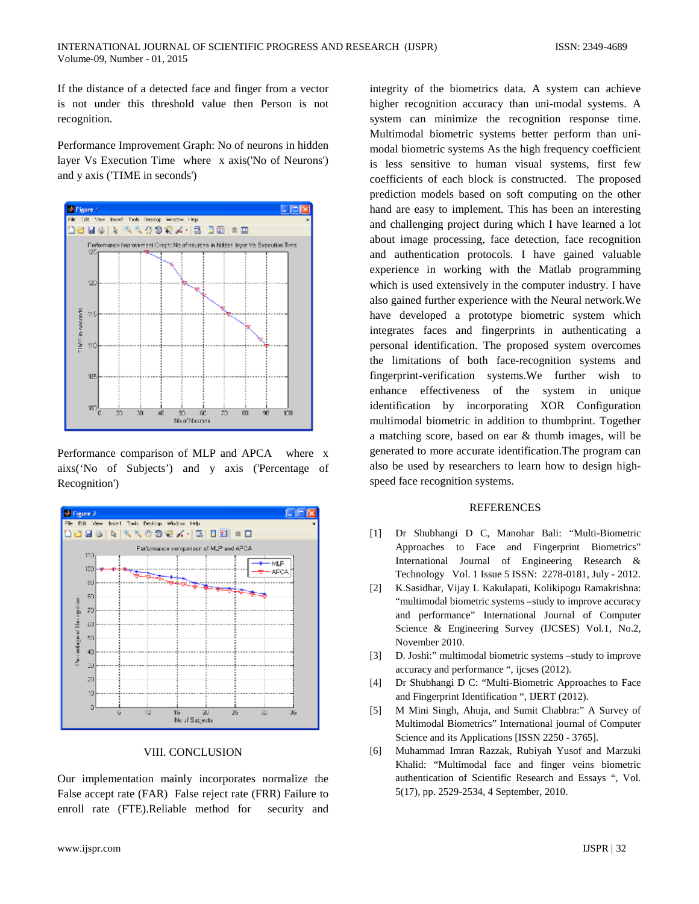If the distance of a detected face and finger from a vector is not under this threshold value then Person is not recognition.

Performance Improvement Graph: No of neurons in hidden layer Vs Execution Time where x axis('No of Neurons') and y axis ('TIME in seconds')



Performance comparison of MLP and APCA where x aixs('No of Subjects') and y axis ('Percentage of Recognition')



#### VIII. CONCLUSION

Our implementation mainly incorporates normalize the False accept rate (FAR) False reject rate (FRR) Failure to enroll rate (FTE).Reliable method for security and integrity of the biometrics data. A system can achieve higher recognition accuracy than uni-modal systems. A system can minimize the recognition response time. Multimodal biometric systems better perform than unimodal biometric systems As the high frequency coefficient is less sensitive to human visual systems, first few coefficients of each block is constructed. The proposed prediction models based on soft computing on the other hand are easy to implement. This has been an interesting and challenging project during which I have learned a lot about image processing, face detection, face recognition and authentication protocols. I have gained valuable experience in working with the Matlab programming which is used extensively in the computer industry. I have also gained further experience with the Neural network.We have developed a prototype biometric system which integrates faces and fingerprints in authenticating a personal identification. The proposed system overcomes the limitations of both face-recognition systems and fingerprint-verification systems.We further wish to enhance effectiveness of the system in unique identification by incorporating XOR Configuration multimodal biometric in addition to thumbprint. Together a matching score, based on ear & thumb images, will be generated to more accurate identification.The program can also be used by researchers to learn how to design highspeed face recognition systems.

#### **REFERENCES**

- [1] Dr Shubhangi D C, Manohar Bali: "Multi-Biometric Approaches to Face and Fingerprint Biometrics" International Journal of Engineering Research & Technology Vol. 1 Issue 5 ISSN: 2278-0181, July - 2012.
- [2] K.Sasidhar, Vijay L Kakulapati, Kolikipogu Ramakrishna: "multimodal biometric systems –study to improve accuracy and performance" International Journal of Computer Science & Engineering Survey (IJCSES) Vol.1, No.2, November 2010.
- [3] D. Joshi:" multimodal biometric systems –study to improve accuracy and performance ", ijcses (2012).
- [4] Dr Shubhangi D C: "Multi-Biometric Approaches to Face and Fingerprint Identification ", IJERT (2012).
- [5] M Mini Singh, Ahuja, and Sumit Chabbra:" A Survey of Multimodal Biometrics" International journal of Computer Science and its Applications [ISSN 2250 - 3765].
- [6] Muhammad Imran Razzak, Rubiyah Yusof and Marzuki Khalid: "Multimodal face and finger veins biometric authentication of Scientific Research and Essays ", Vol. 5(17), pp. 2529-2534, 4 September, 2010.